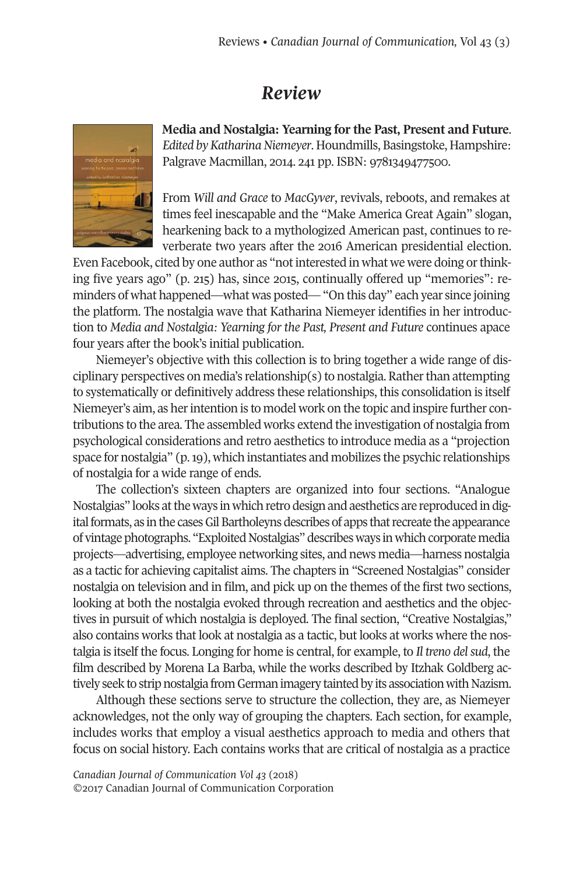## *Review*



**Media and Nostalgia: Yearning for the Past, Present and Future**. *Edited by Katharina Niemeyer. Houndmills, Basingstoke, Hampshire:* Palgrave Macmillan, 2014. 241 pp. ISBN: 9781349477500.

From *Will and Grace* to *MacGyver*, revivals, reboots, and remakes at times feel inescapable and the "Make America Great Again" slogan, hearkening back to a mythologized American past, continues to reverberate two years after the 2016 American presidential election.

Even Facebook, cited by one author as "not interested in what we were doing or thinking five years ago" (p. 215) has, since 2015, continually offered up "memories": reminders of what happened—what was posted—"On this day" each year since joining the platform. The nostalgia wave that Katharina Niemeyer identifies in her introduction to *Media and Nostalgia: Yearning for the Past, Present and Future* continues apace four years after the book's initial publication.

Niemeyer's objective with this collection is to bring together a wide range of disciplinary perspectives on media's relationship(s) to nostalgia. Rather than attempting to systematically or definitively address these relationships, this consolidation is itself Niemeyer's aim, as herintention is to model work on the topic and inspire further contributions to the area. The assembled works extend the investigation of nostalgia from psychological considerations and retro aesthetics to introduce media as a "projection space for nostalgia" (p.19), which instantiates and mobilizes the psychic relationships of nostalgia for a wide range of ends.

The collection's sixteen chapters are organized into four sections. "Analogue Nostalgias" looks at the ways in which retro design and aesthetics are reproduced in digital formats, as in the cases Gil Bartholeyns describes of apps that recreate the appearance of vintage photographs. "Exploited Nostalgias" describes ways in which corporate media projects—advertising, employee networking sites, and news media—harness nostalgia as a tactic for achieving capitalist aims. The chapters in "Screened Nostalgias" consider nostalgia on television and in film, and pick up on the themes of the first two sections, looking at both the nostalgia evoked through recreation and aesthetics and the objectives in pursuit of which nostalgia is deployed. The final section, "Creative Nostalgias," also contains works that look at nostalgia as a tactic, but looks at works where the nostalgia is itself the focus. Longing for home is central, for example, to *Il treno delsud*, the film described by Morena La Barba, while the works described by Itzhak Goldberg actively seek to strip nostalgia from German imagery tainted by its association with Nazism.

Although these sections serve to structure the collection, they are, as Niemeyer acknowledges, not the only way of grouping the chapters. Each section, for example, includes works that employ a visual aesthetics approach to media and others that focus on social history. Each contains works that are critical of nostalgia as a practice

*Canadian Journal of [Communication](http://www.cjc-online.ca) Vol 43* (2018) ©2017 Canadian Journal of Communication Corporation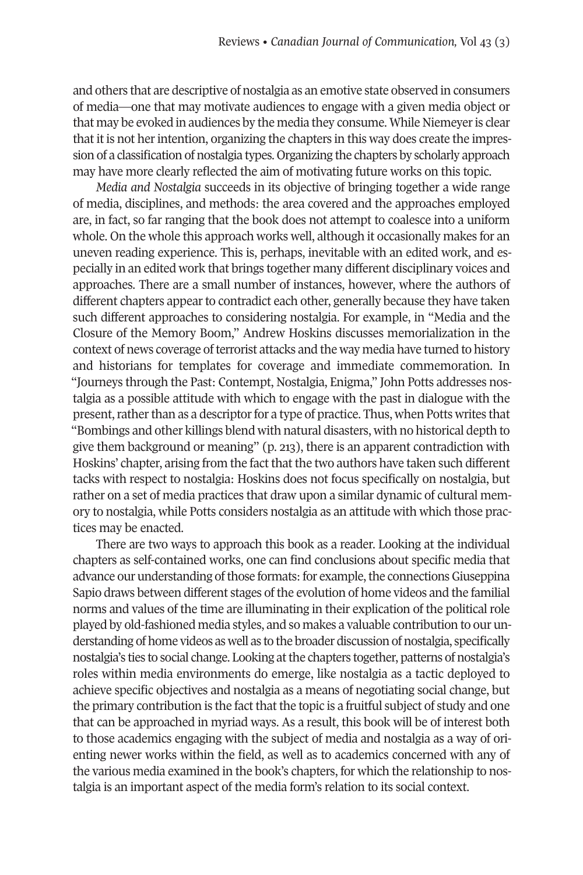and others that are descriptive of nostalgia as an emotive state observed in consumers of media—one that may motivate audiences to engage with a given media object or that may be evoked in audiences by the media they consume. While Niemeyeris clear that it is not herintention, organizing the chapters in this way does create the impression of a classification of nostalgia types. Organizing the chapters by scholarly approach may have more clearly reflected the aim of motivating future works on this topic.

*Media and Nostalgia* succeeds in its objective of bringing together a wide range of media, disciplines, and methods: the area covered and the approaches employed are, in fact, so far ranging that the book does not attempt to coalesce into a uniform whole. On the whole this approach works well, although it occasionally makes for an uneven reading experience. This is, perhaps, inevitable with an edited work, and especially in an edited work that brings together many different disciplinary voices and approaches. There are a small number of instances, however, where the authors of different chapters appearto contradict each other, generally because they have taken such different approaches to considering nostalgia. For example, in "Media and the Closure of the Memory Boom," Andrew Hoskins discusses memorialization in the context of news coverage of terrorist attacks and the way media have turned to history and historians for templates for coverage and immediate commemoration. In "Journeys through the Past: Contempt, Nostalgia, Enigma," John Potts addresses nostalgia as a possible attitude with which to engage with the past in dialogue with the present, rather than as a descriptor for a type of practice. Thus, when Potts writes that "Bombings and other killings blend with natural disasters, with no historical depth to give them background or meaning" (p. 213), there is an apparent contradiction with Hoskins' chapter, arising from the fact that the two authors have taken such different tacks with respect to nostalgia: Hoskins does not focus specifically on nostalgia, but rather on a set of media practices that draw upon a similar dynamic of cultural memory to nostalgia, while Potts considers nostalgia as an attitude with which those practices may be enacted.

There are two ways to approach this book as a reader. Looking at the individual chapters as self-contained works, one can find conclusions about specific media that advance our understanding of those formats: for example, the connections Giuseppina Sapio draws between different stages ofthe evolution of home videos and the familial norms and values of the time are illuminating in their explication of the political role played by old-fashioned media styles, and so makes a valuable contribution to our understanding of home videos as well as to the broader discussion of nostalgia, specifically nostalgia's ties to social change. Looking at the chapters together, patterns of nostalgia's roles within media environments do emerge, like nostalgia as a tactic deployed to achieve specific objectives and nostalgia as a means of negotiating social change, but the primary contribution is the fact that the topic is a fruitful subject of study and one that can be approached in myriad ways. As a result, this book will be of interest both to those academics engaging with the subject of media and nostalgia as a way of orienting newer works within the field, as well as to academics concerned with any of the various media examined in the book's chapters, for which the relationship to nostalgia is an important aspect of the media form's relation to its social context.